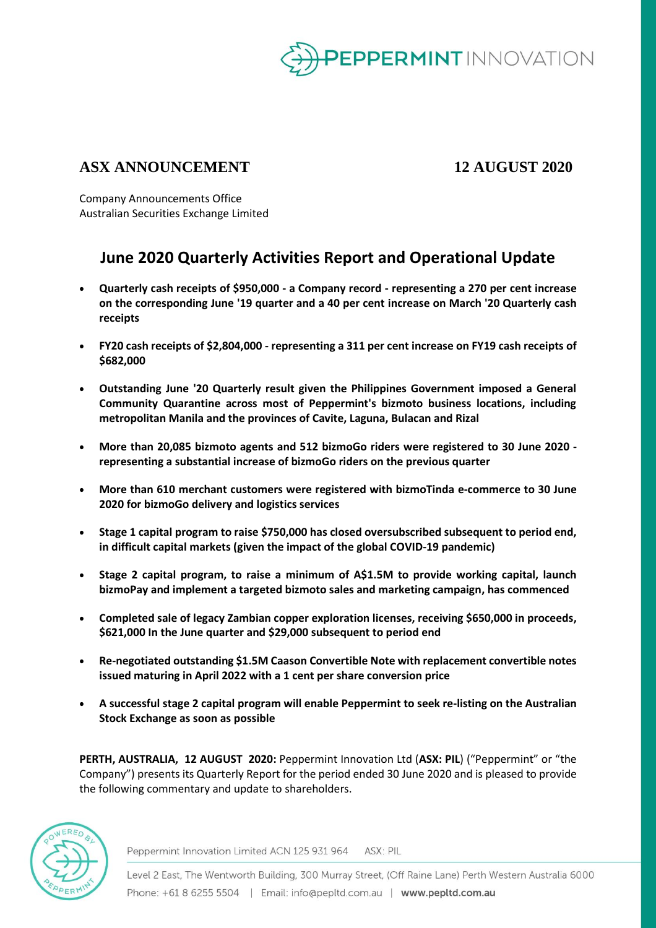

## **ASX ANNOUNCEMENT 12 AUGUST 2020**

Company Announcements Office Australian Securities Exchange Limited

# **June 2020 Quarterly Activities Report and Operational Update**

- **Quarterly cash receipts of \$950,000 - a Company record - representing a 270 per cent increase on the corresponding June '19 quarter and a 40 per cent increase on March '20 Quarterly cash receipts**
- **FY20 cash receipts of \$2,804,000 - representing a 311 per cent increase on FY19 cash receipts of \$682,000**
- **Outstanding June '20 Quarterly result given the Philippines Government imposed a General Community Quarantine across most of Peppermint's bizmoto business locations, including metropolitan Manila and the provinces of Cavite, Laguna, Bulacan and Rizal**
- **More than 20,085 bizmoto agents and 512 bizmoGo riders were registered to 30 June 2020 representing a substantial increase of bizmoGo riders on the previous quarter**
- **More than 610 merchant customers were registered with bizmoTinda e-commerce to 30 June 2020 for bizmoGo delivery and logistics services**
- **Stage 1 capital program to raise \$750,000 has closed oversubscribed subsequent to period end, in difficult capital markets (given the impact of the global COVID-19 pandemic)**
- **Stage 2 capital program, to raise a minimum of A\$1.5M to provide working capital, launch bizmoPay and implement a targeted bizmoto sales and marketing campaign, has commenced**
- **Completed sale of legacy Zambian copper exploration licenses, receiving \$650,000 in proceeds, \$621,000 In the June quarter and \$29,000 subsequent to period end**
- **Re-negotiated outstanding \$1.5M Caason Convertible Note with replacement convertible notes issued maturing in April 2022 with a 1 cent per share conversion price**
- **A successful stage 2 capital program will enable Peppermint to seek re-listing on the Australian Stock Exchange as soon as possible**

**PERTH, AUSTRALIA, 12 AUGUST 2020:** Peppermint Innovation Ltd (**ASX: PIL**) ("Peppermint" or "the Company") presents its Quarterly Report for the period ended 30 June 2020 and is pleased to provide the following commentary and update to shareholders.



Peppermint Innovation Limited ACN 125 931 964 ASX: PIL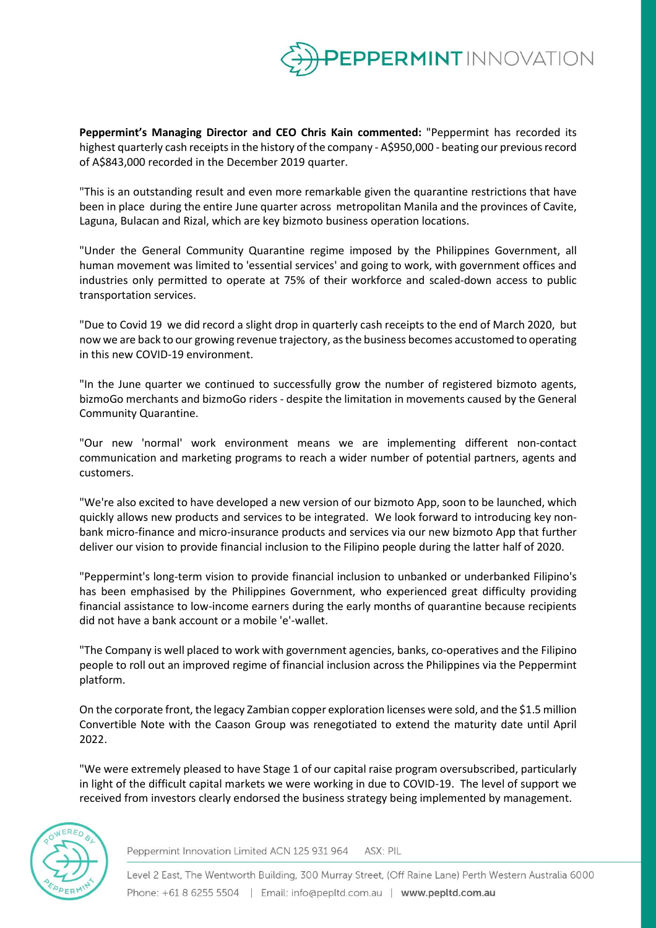

**Peppermint's Managing Director and CEO Chris Kain commented:** "Peppermint has recorded its highest quarterly cash receipts in the history of the company - A\$950,000 - beating our previous record of A\$843,000 recorded in the December 2019 quarter.

"This is an outstanding result and even more remarkable given the quarantine restrictions that have been in place during the entire June quarter across metropolitan Manila and the provinces of Cavite, Laguna, Bulacan and Rizal, which are key bizmoto business operation locations.

"Under the General Community Quarantine regime imposed by the Philippines Government, all human movement was limited to 'essential services' and going to work, with government offices and industries only permitted to operate at 75% of their workforce and scaled-down access to public transportation services.

"Due to Covid 19 we did record a slight drop in quarterly cash receipts to the end of March 2020, but now we are back to our growing revenue trajectory, as the business becomes accustomed to operating in this new COVID-19 environment.

"In the June quarter we continued to successfully grow the number of registered bizmoto agents, bizmoGo merchants and bizmoGo riders - despite the limitation in movements caused by the General Community Quarantine.

"Our new 'normal' work environment means we are implementing different non-contact communication and marketing programs to reach a wider number of potential partners, agents and customers.

"We're also excited to have developed a new version of our bizmoto App, soon to be launched, which quickly allows new products and services to be integrated. We look forward to introducing key nonbank micro-finance and micro-insurance products and services via our new bizmoto App that further deliver our vision to provide financial inclusion to the Filipino people during the latter half of 2020.

"Peppermint's long-term vision to provide financial inclusion to unbanked or underbanked Filipino's has been emphasised by the Philippines Government, who experienced great difficulty providing financial assistance to low-income earners during the early months of quarantine because recipients did not have a bank account or a mobile 'e'-wallet.

"The Company is well placed to work with government agencies, banks, co-operatives and the Filipino people to roll out an improved regime of financial inclusion across the Philippines via the Peppermint platform.

On the corporate front, the legacy Zambian copper exploration licenses were sold, and the \$1.5 million Convertible Note with the Caason Group was renegotiated to extend the maturity date until April 2022.

"We were extremely pleased to have Stage 1 of our capital raise program oversubscribed, particularly in light of the difficult capital markets we were working in due to COVID-19. The level of support we received from investors clearly endorsed the business strategy being implemented by management.



Peppermint Innovation Limited ACN 125 931 964 ASX: PIL

Level 2 East, The Wentworth Building, 300 Murray Street, (Off Raine Lane) Perth Western Australia 6000 Phone: +61 8 6255 5504 | Email: info@pepltd.com.au | www.pepltd.com.au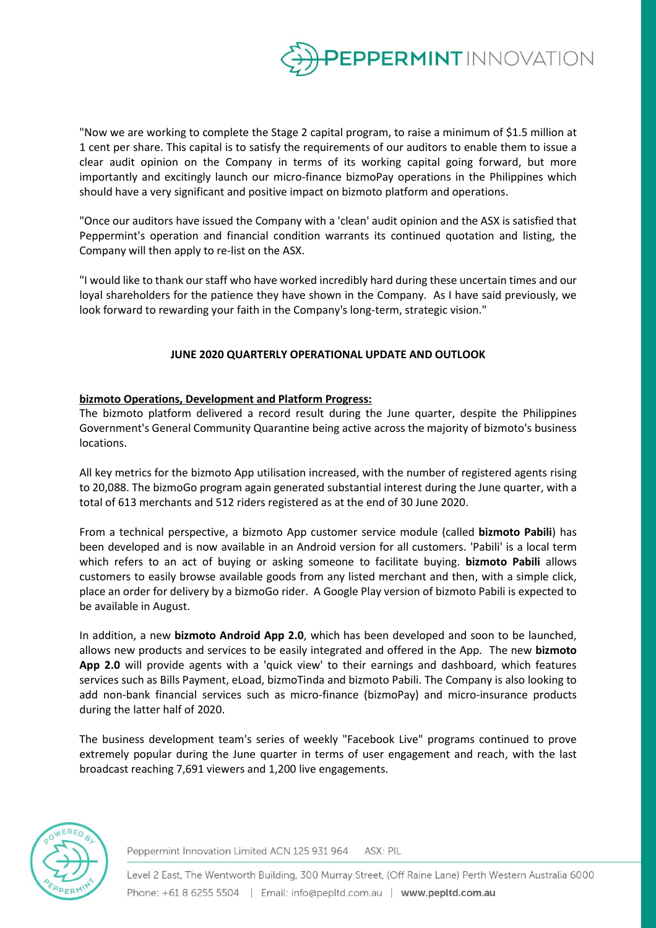

"Now we are working to complete the Stage 2 capital program, to raise a minimum of \$1.5 million at 1 cent per share. This capital is to satisfy the requirements of our auditors to enable them to issue a clear audit opinion on the Company in terms of its working capital going forward, but more importantly and excitingly launch our micro-finance bizmoPay operations in the Philippines which should have a very significant and positive impact on bizmoto platform and operations.

"Once our auditors have issued the Company with a 'clean' audit opinion and the ASX is satisfied that Peppermint's operation and financial condition warrants its continued quotation and listing, the Company will then apply to re-list on the ASX.

"I would like to thank our staff who have worked incredibly hard during these uncertain times and our loyal shareholders for the patience they have shown in the Company. As I have said previously, we look forward to rewarding your faith in the Company's long-term, strategic vision."

### **JUNE 2020 QUARTERLY OPERATIONAL UPDATE AND OUTLOOK**

### **bizmoto Operations, Development and Platform Progress:**

The bizmoto platform delivered a record result during the June quarter, despite the Philippines Government's General Community Quarantine being active across the majority of bizmoto's business locations.

All key metrics for the bizmoto App utilisation increased, with the number of registered agents rising to 20,088. The bizmoGo program again generated substantial interest during the June quarter, with a total of 613 merchants and 512 riders registered as at the end of 30 June 2020.

From a technical perspective, a bizmoto App customer service module (called **bizmoto Pabili**) has been developed and is now available in an Android version for all customers. 'Pabili' is a local term which refers to an act of buying or asking someone to facilitate buying. **bizmoto Pabili** allows customers to easily browse available goods from any listed merchant and then, with a simple click, place an order for delivery by a bizmoGo rider. A Google Play version of bizmoto Pabili is expected to be available in August.

In addition, a new **bizmoto Android App 2.0**, which has been developed and soon to be launched, allows new products and services to be easily integrated and offered in the App. The new **bizmoto App 2.0** will provide agents with a 'quick view' to their earnings and dashboard, which features services such as Bills Payment, eLoad, bizmoTinda and bizmoto Pabili. The Company is also looking to add non-bank financial services such as micro-finance (bizmoPay) and micro-insurance products during the latter half of 2020.

The business development team's series of weekly "Facebook Live" programs continued to prove extremely popular during the June quarter in terms of user engagement and reach, with the last broadcast reaching 7,691 viewers and 1,200 live engagements.



Peppermint Innovation Limited ACN 125 931 964 ASX: PIL

Level 2 East, The Wentworth Building, 300 Murray Street, (Off Raine Lane) Perth Western Australia 6000 Phone: +61 8 6255 5504 | Email: info@pepltd.com.au | www.pepltd.com.au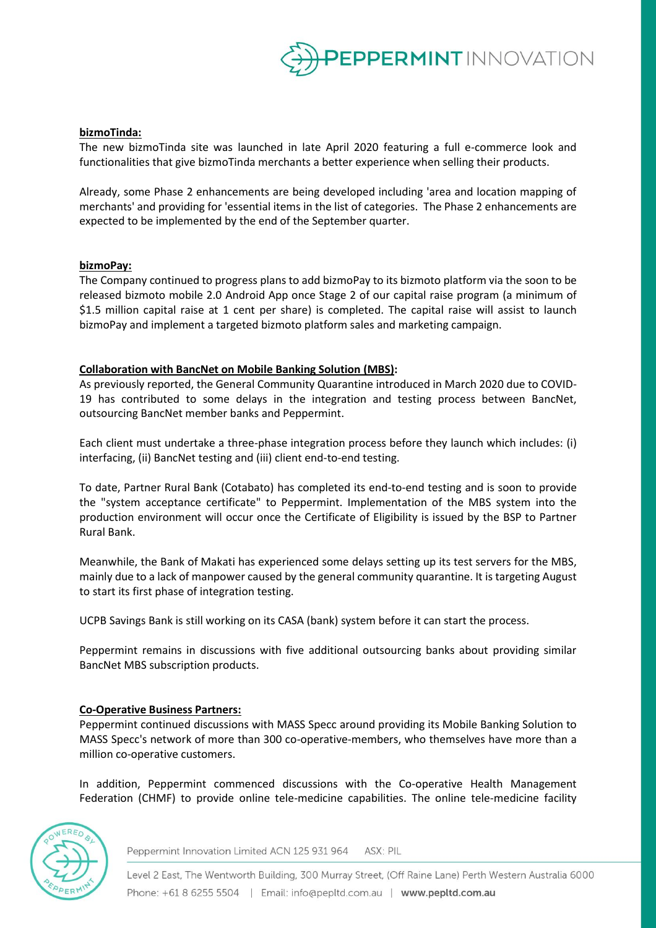

### **bizmoTinda:**

The new bizmoTinda site was launched in late April 2020 featuring a full e-commerce look and functionalities that give bizmoTinda merchants a better experience when selling their products.

Already, some Phase 2 enhancements are being developed including 'area and location mapping of merchants' and providing for 'essential items in the list of categories. The Phase 2 enhancements are expected to be implemented by the end of the September quarter.

#### **bizmoPay:**

The Company continued to progress plans to add bizmoPay to its bizmoto platform via the soon to be released bizmoto mobile 2.0 Android App once Stage 2 of our capital raise program (a minimum of \$1.5 million capital raise at 1 cent per share) is completed. The capital raise will assist to launch bizmoPay and implement a targeted bizmoto platform sales and marketing campaign.

#### **Collaboration with BancNet on Mobile Banking Solution (MBS):**

As previously reported, the General Community Quarantine introduced in March 2020 due to COVID-19 has contributed to some delays in the integration and testing process between BancNet, outsourcing BancNet member banks and Peppermint.

Each client must undertake a three-phase integration process before they launch which includes: (i) interfacing, (ii) BancNet testing and (iii) client end-to-end testing.

To date, Partner Rural Bank (Cotabato) has completed its end-to-end testing and is soon to provide the "system acceptance certificate" to Peppermint. Implementation of the MBS system into the production environment will occur once the Certificate of Eligibility is issued by the BSP to Partner Rural Bank.

Meanwhile, the Bank of Makati has experienced some delays setting up its test servers for the MBS, mainly due to a lack of manpower caused by the general community quarantine. It is targeting August to start its first phase of integration testing.

UCPB Savings Bank is still working on its CASA (bank) system before it can start the process.

Peppermint remains in discussions with five additional outsourcing banks about providing similar BancNet MBS subscription products.

#### **Co-Operative Business Partners:**

Peppermint continued discussions with MASS Specc around providing its Mobile Banking Solution to MASS Specc's network of more than 300 co-operative-members, who themselves have more than a million co-operative customers.

In addition, Peppermint commenced discussions with the Co-operative Health Management Federation (CHMF) to provide online tele-medicine capabilities. The online tele-medicine facility



Peppermint Innovation Limited ACN 125 931 964 ASX: PIL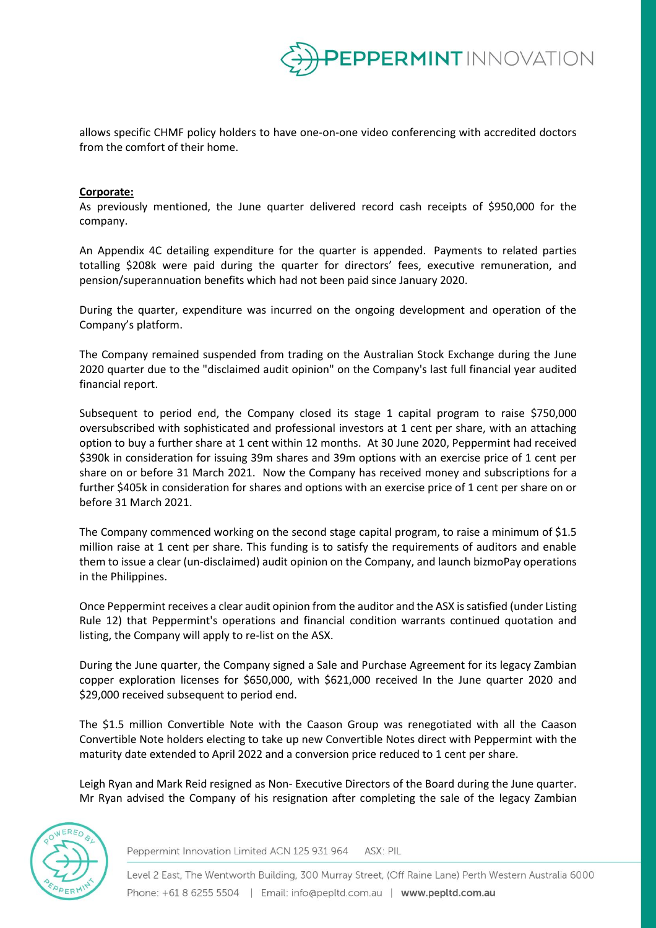

allows specific CHMF policy holders to have one-on-one video conferencing with accredited doctors from the comfort of their home.

#### **Corporate:**

As previously mentioned, the June quarter delivered record cash receipts of \$950,000 for the company.

An Appendix 4C detailing expenditure for the quarter is appended. Payments to related parties totalling \$208k were paid during the quarter for directors' fees, executive remuneration, and pension/superannuation benefits which had not been paid since January 2020.

During the quarter, expenditure was incurred on the ongoing development and operation of the Company's platform.

The Company remained suspended from trading on the Australian Stock Exchange during the June 2020 quarter due to the "disclaimed audit opinion" on the Company's last full financial year audited financial report.

Subsequent to period end, the Company closed its stage 1 capital program to raise \$750,000 oversubscribed with sophisticated and professional investors at 1 cent per share, with an attaching option to buy a further share at 1 cent within 12 months. At 30 June 2020, Peppermint had received \$390k in consideration for issuing 39m shares and 39m options with an exercise price of 1 cent per share on or before 31 March 2021. Now the Company has received money and subscriptions for a further \$405k in consideration for shares and options with an exercise price of 1 cent per share on or before 31 March 2021.

The Company commenced working on the second stage capital program, to raise a minimum of \$1.5 million raise at 1 cent per share. This funding is to satisfy the requirements of auditors and enable them to issue a clear (un-disclaimed) audit opinion on the Company, and launch bizmoPay operations in the Philippines.

Once Peppermint receives a clear audit opinion from the auditor and the ASX is satisfied (under Listing Rule 12) that Peppermint's operations and financial condition warrants continued quotation and listing, the Company will apply to re-list on the ASX.

During the June quarter, the Company signed a Sale and Purchase Agreement for its legacy Zambian copper exploration licenses for \$650,000, with \$621,000 received In the June quarter 2020 and \$29,000 received subsequent to period end.

The \$1.5 million Convertible Note with the Caason Group was renegotiated with all the Caason Convertible Note holders electing to take up new Convertible Notes direct with Peppermint with the maturity date extended to April 2022 and a conversion price reduced to 1 cent per share.

Leigh Ryan and Mark Reid resigned as Non- Executive Directors of the Board during the June quarter. Mr Ryan advised the Company of his resignation after completing the sale of the legacy Zambian



Peppermint Innovation Limited ACN 125 931 964 ASX: PIL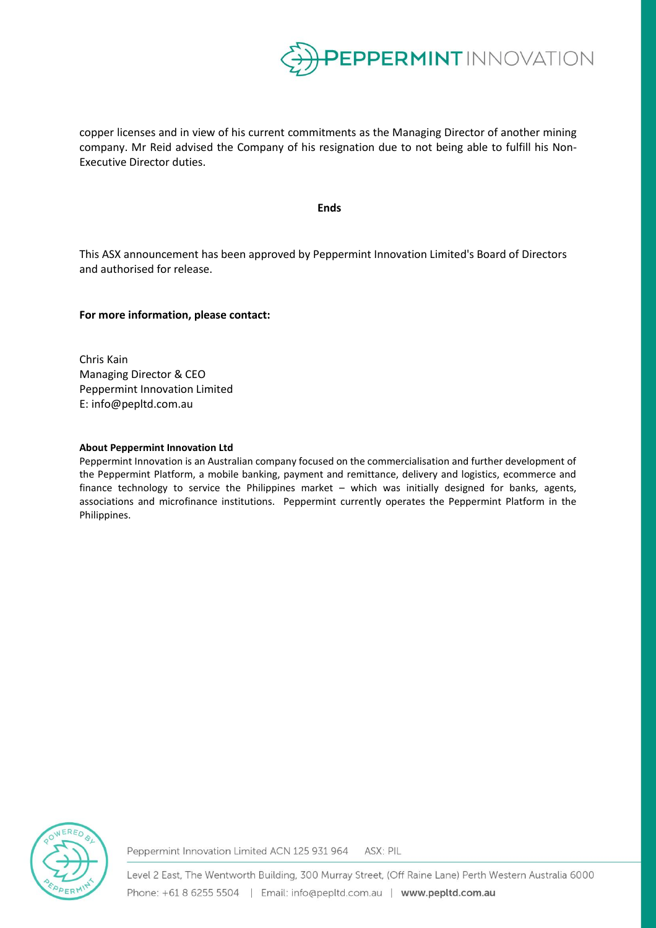

copper licenses and in view of his current commitments as the Managing Director of another mining company. Mr Reid advised the Company of his resignation due to not being able to fulfill his Non-Executive Director duties.

**Ends**

This ASX announcement has been approved by Peppermint Innovation Limited's Board of Directors and authorised for release.

#### **For more information, please contact:**

Chris Kain Managing Director & CEO Peppermint Innovation Limited E: info@pepltd.com.au

#### **About Peppermint Innovation Ltd**

Peppermint Innovation is an Australian company focused on the commercialisation and further development of the Peppermint Platform, a mobile banking, payment and remittance, delivery and logistics, ecommerce and finance technology to service the Philippines market – which was initially designed for banks, agents, associations and microfinance institutions. Peppermint currently operates the Peppermint Platform in the Philippines.



Peppermint Innovation Limited ACN 125 931 964 ASX: PIL

Level 2 East, The Wentworth Building, 300 Murray Street, (Off Raine Lane) Perth Western Australia 6000 Phone: +61 8 6255 5504 | Email: info@pepltd.com.au | www.pepltd.com.au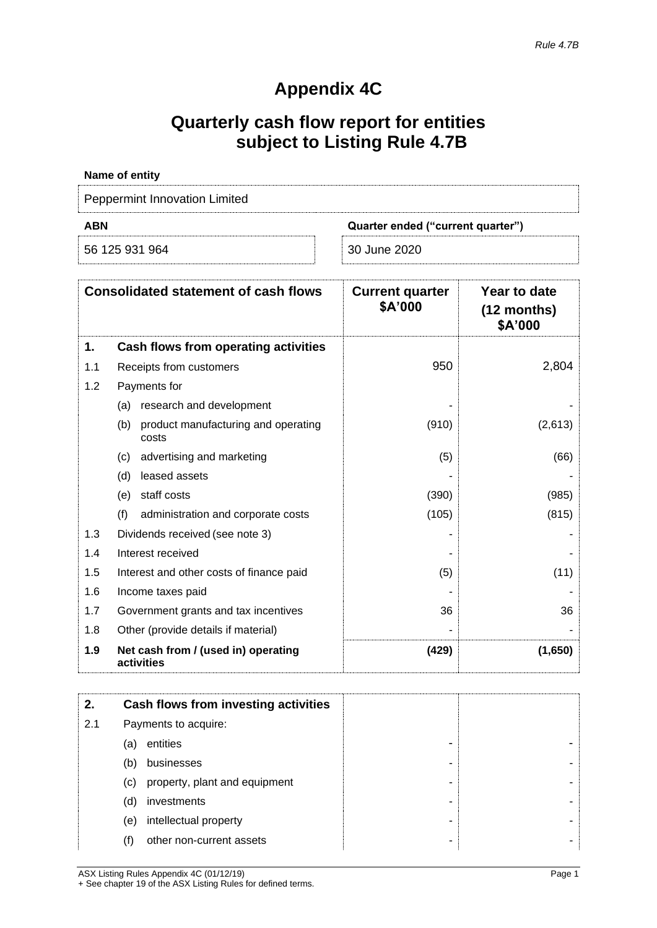# **Appendix 4C**

# **Quarterly cash flow report for entities subject to Listing Rule 4.7B**

| Name of entity                                  |              |  |
|-------------------------------------------------|--------------|--|
| <b>Peppermint Innovation Limited</b>            |              |  |
| <b>ABN</b><br>Quarter ended ("current quarter") |              |  |
| 56 125 931 964                                  | 30 June 2020 |  |

|     | <b>Consolidated statement of cash flows</b>         | <b>Current quarter</b><br>\$A'000 | Year to date<br>(12 months)<br>\$A'000 |
|-----|-----------------------------------------------------|-----------------------------------|----------------------------------------|
| 1.  | Cash flows from operating activities                |                                   |                                        |
| 1.1 | Receipts from customers                             | 950                               | 2,804                                  |
| 1.2 | Payments for                                        |                                   |                                        |
|     | research and development<br>(a)                     |                                   |                                        |
|     | product manufacturing and operating<br>(b)<br>costs | (910)                             | (2,613)                                |
|     | advertising and marketing<br>(c)                    | (5)                               | (66)                                   |
|     | leased assets<br>(d)                                |                                   |                                        |
|     | staff costs<br>(e)                                  | (390)                             | (985)                                  |
|     | (f)<br>administration and corporate costs           | (105)                             | (815)                                  |
| 1.3 | Dividends received (see note 3)                     |                                   |                                        |
| 1.4 | Interest received                                   |                                   |                                        |
| 1.5 | Interest and other costs of finance paid            | (5)                               | (11)                                   |
| 1.6 | Income taxes paid                                   |                                   |                                        |
| 1.7 | Government grants and tax incentives                | 36                                | 36                                     |
| 1.8 | Other (provide details if material)                 |                                   |                                        |
| 1.9 | Net cash from / (used in) operating<br>activities   | (429)                             | (1,650)                                |

| 2.  |     | Cash flows from investing activities |  |
|-----|-----|--------------------------------------|--|
| 2.1 |     | Payments to acquire:                 |  |
|     | (a) | entities                             |  |
|     | (b) | businesses                           |  |
|     | (c) | property, plant and equipment        |  |
|     | (d) | investments                          |  |
|     | (e) | intellectual property                |  |
|     | (f) | other non-current assets             |  |

ASX Listing Rules Appendix 4C (01/12/19) Page 1 + See chapter 19 of the ASX Listing Rules for defined terms.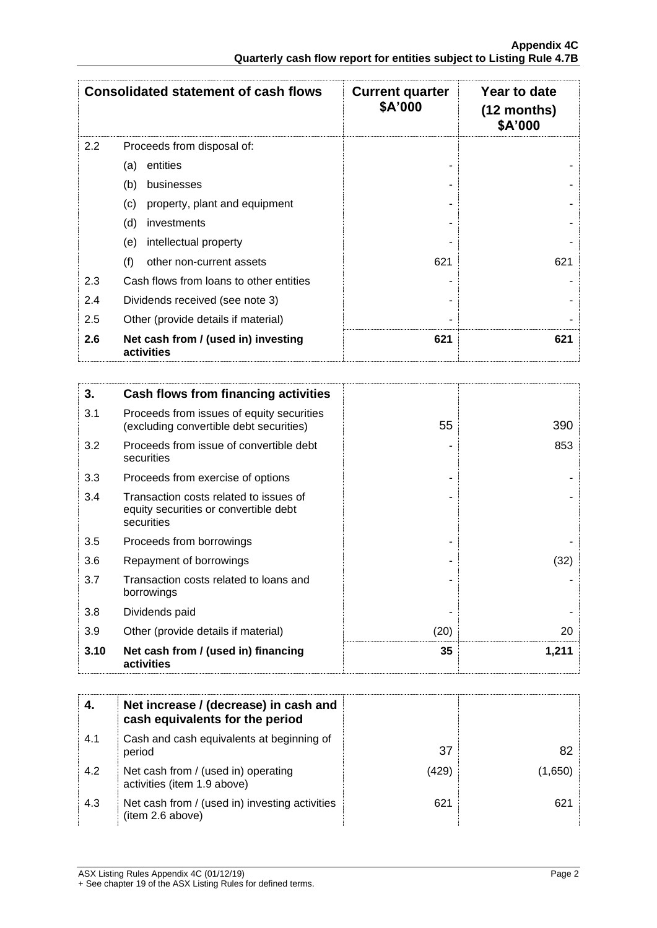|     | <b>Consolidated statement of cash flows</b>       | <b>Current quarter</b><br>\$A'000 | Year to date<br>$(12$ months)<br>\$A'000 |
|-----|---------------------------------------------------|-----------------------------------|------------------------------------------|
| 2.2 | Proceeds from disposal of:                        |                                   |                                          |
|     | entities<br>(a)                                   |                                   |                                          |
|     | (b)<br>businesses                                 |                                   |                                          |
|     | (c)<br>property, plant and equipment              |                                   |                                          |
|     | (d)<br>investments                                |                                   |                                          |
|     | intellectual property<br>(e)                      |                                   |                                          |
|     | (f)<br>other non-current assets                   | 621                               | 621                                      |
| 2.3 | Cash flows from loans to other entities           |                                   |                                          |
| 2.4 | Dividends received (see note 3)                   |                                   |                                          |
| 2.5 | Other (provide details if material)               |                                   |                                          |
| 2.6 | Net cash from / (used in) investing<br>activities | 621                               | 621                                      |

| 3.   | Cash flows from financing activities                                                          |      |       |
|------|-----------------------------------------------------------------------------------------------|------|-------|
| 3.1  | Proceeds from issues of equity securities<br>(excluding convertible debt securities)          | 55   | 390   |
| 3.2  | Proceeds from issue of convertible debt<br>securities                                         |      | 853   |
| 3.3  | Proceeds from exercise of options                                                             |      |       |
| 3.4  | Transaction costs related to issues of<br>equity securities or convertible debt<br>securities |      |       |
| 3.5  | Proceeds from borrowings                                                                      |      |       |
| 3.6  | Repayment of borrowings                                                                       |      | (32)  |
| 3.7  | Transaction costs related to loans and<br>borrowings                                          |      |       |
| 3.8  | Dividends paid                                                                                |      |       |
| 3.9  | Other (provide details if material)                                                           | (20) | 20    |
| 3.10 | Net cash from / (used in) financing<br>activities                                             | 35   | 1,211 |

| 4.  | Net increase / (decrease) in cash and<br>cash equivalents for the period |       |         |
|-----|--------------------------------------------------------------------------|-------|---------|
| 4.1 | Cash and cash equivalents at beginning of<br>period                      | 37    | 82.     |
| 4.2 | Net cash from / (used in) operating<br>activities (item 1.9 above)       | (429) | (1.650) |
| 4.3 | Net cash from / (used in) investing activities<br>(item 2.6 above)       | 621   | 621     |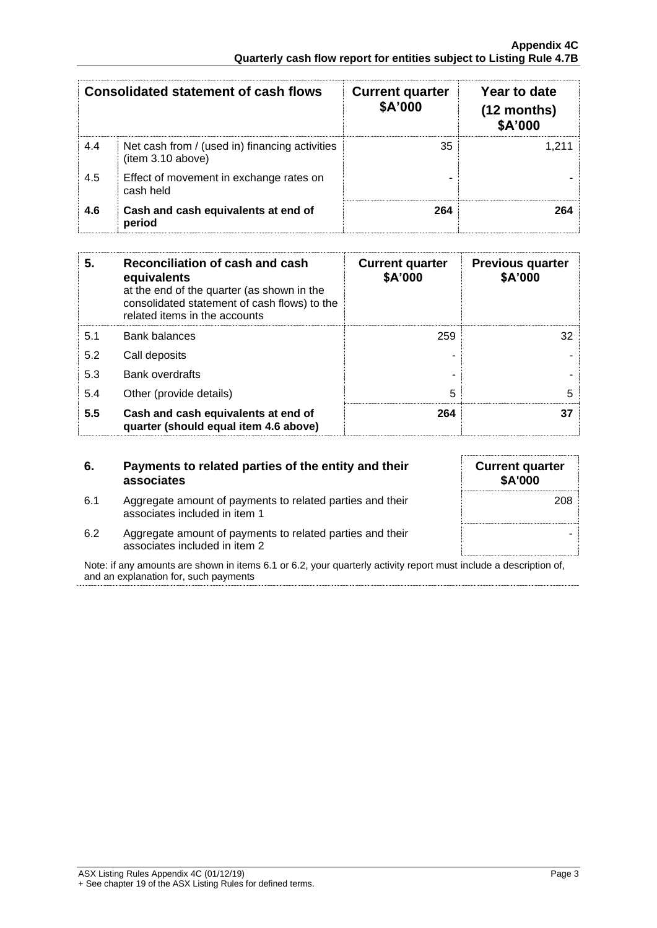| <b>Consolidated statement of cash flows</b> |                                                                    | <b>Current quarter</b><br>\$A'000 | Year to date<br>$(12$ months)<br>\$A'000 |
|---------------------------------------------|--------------------------------------------------------------------|-----------------------------------|------------------------------------------|
| 4.4                                         | Net cash from / (used in) financing activities<br>item 3.10 above) | 35                                |                                          |
| 4.5                                         | Effect of movement in exchange rates on<br>cash held               |                                   |                                          |
| 4.6                                         | Cash and cash equivalents at end of<br>period                      | 264                               | 264                                      |

| 5.  | Reconciliation of cash and cash<br>equivalents<br>at the end of the quarter (as shown in the<br>consolidated statement of cash flows) to the<br>related items in the accounts | <b>Current quarter</b><br>\$A'000 | <b>Previous quarter</b><br>\$A'000 |
|-----|-------------------------------------------------------------------------------------------------------------------------------------------------------------------------------|-----------------------------------|------------------------------------|
| 5.1 | <b>Bank balances</b>                                                                                                                                                          | 259                               | 32                                 |
| 5.2 | Call deposits                                                                                                                                                                 |                                   |                                    |
| 5.3 | <b>Bank overdrafts</b>                                                                                                                                                        |                                   |                                    |
| 5.4 | Other (provide details)                                                                                                                                                       | 5                                 | 5                                  |
| 5.5 | Cash and cash equivalents at end of<br>quarter (should equal item 4.6 above)                                                                                                  | 264                               | 37                                 |

| 6.  | Payments to related parties of the entity and their<br>associates                          |
|-----|--------------------------------------------------------------------------------------------|
| 6.1 | Aggregate amount of payments to related parties and their<br>associates included in item 1 |

| <b>Current quarter</b><br>\$A'000 |
|-----------------------------------|
| 208                               |
|                                   |
|                                   |

6.2 Aggregate amount of payments to related parties and their associates included in item 2

Note: if any amounts are shown in items 6.1 or 6.2, your quarterly activity report must include a description of, and an explanation for, such payments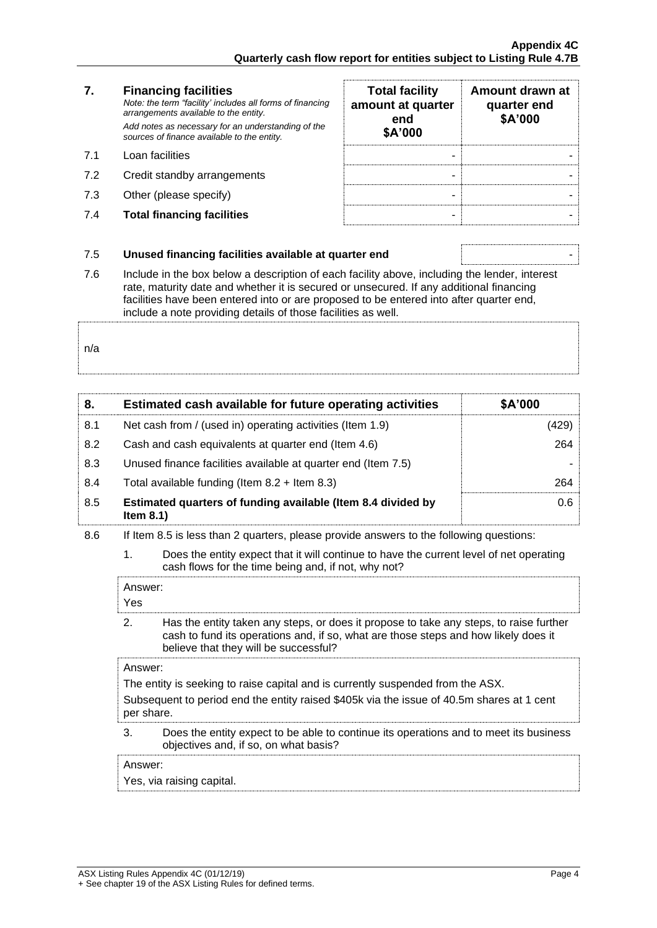#### **7. Financing facilities** *Note: the term "facility' includes all forms of financing arrangements available to the entity. Add notes as necessary for an understanding of the sources of finance available to the entity.* 7.1 Loan facilities

- 7.2 Credit standby arrangements
- 7.3 Other (please specify)
- **7.4 Total financing facilities**

| <b>Total facility</b><br>amount at quarter<br>end<br>\$A'000 | Amount drawn at<br>quarter end<br>\$A'000 |
|--------------------------------------------------------------|-------------------------------------------|
|                                                              |                                           |
|                                                              |                                           |
|                                                              |                                           |
|                                                              |                                           |

#### 7.5 **Unused financing facilities available at quarter end** -

7.6 Include in the box below a description of each facility above, including the lender, interest rate, maturity date and whether it is secured or unsecured. If any additional financing facilities have been entered into or are proposed to be entered into after quarter end, include a note providing details of those facilities as well.

n/a

| 8.  | Estimated cash available for future operating activities                     | \$A'000 |
|-----|------------------------------------------------------------------------------|---------|
| 8.1 | Net cash from / (used in) operating activities (Item 1.9)                    | (429)   |
| 8.2 | Cash and cash equivalents at quarter end (Item 4.6)                          | 264     |
| 8.3 | Unused finance facilities available at quarter end (Item 7.5)                |         |
| 8.4 | Total available funding (Item $8.2 +$ Item $8.3$ )                           | 264     |
| 8.5 | Estimated quarters of funding available (Item 8.4 divided by<br>Item $8.1$ ) | 0.6     |

- 8.6 If Item 8.5 is less than 2 quarters, please provide answers to the following questions:
	- 1. Does the entity expect that it will continue to have the current level of net operating cash flows for the time being and, if not, why not?

| Answer:<br>Yes                                                                  |                                                                                                                                                                                                                        |
|---------------------------------------------------------------------------------|------------------------------------------------------------------------------------------------------------------------------------------------------------------------------------------------------------------------|
| 2.                                                                              | Has the entity taken any steps, or does it propose to take any steps, to raise further<br>cash to fund its operations and, if so, what are those steps and how likely does it<br>believe that they will be successful? |
| Answer:                                                                         |                                                                                                                                                                                                                        |
| The entity is seeking to raise capital and is currently suspended from the ASX. |                                                                                                                                                                                                                        |
| per share.                                                                      | Subsequent to period end the entity raised \$405k via the issue of 40.5m shares at 1 cent                                                                                                                              |
| 3.                                                                              | Does the entity expect to be able to continue its operations and to meet its business<br>objectives and, if so, on what basis?                                                                                         |
| Answer:                                                                         |                                                                                                                                                                                                                        |

Yes, via raising capital.